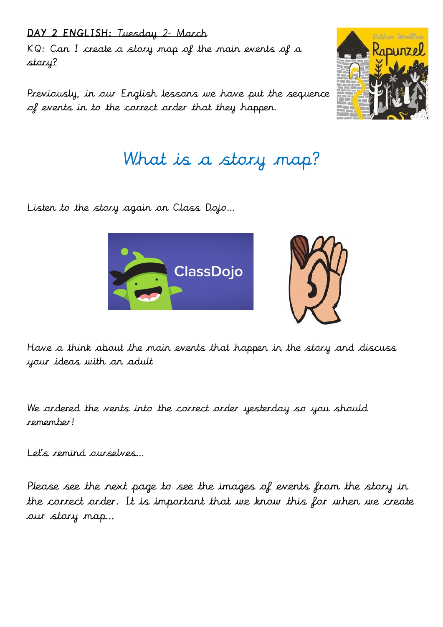DAY 2 ENGLISH: Tuesday 2<sup>nd</sup> March KQ: Can I create a story map of the main events of a story?

Previously, in our English lessons we have put the sequence of events in to the correct order that they happen.



# What is a story map?

Listen to the story again on Class Dojo…



Have a think about the main events that happen in the story and discuss your ideas with an adult

We ordered the vents into the correct order yesterday so you should remember!

Let's remind ourselves…

Please see the next page to see the images of events from the story in the correct order. It is important that we know this for when we create our story map…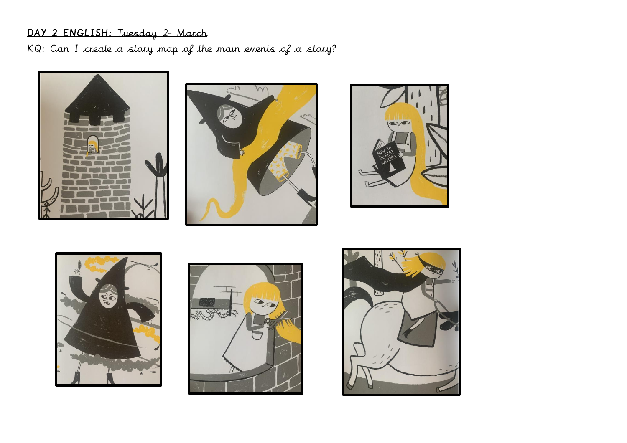## DAY 2 ENGLISH: Tuesday 2<sup>a</sup> March KQ: Can I create a story map of the main events of a story?











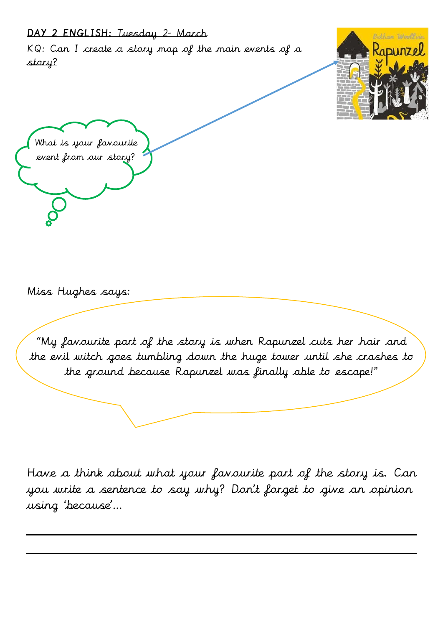#### DAY 2 ENGLISH: Tuesday 2<sup>nd</sup> March

KQ: Can I create a story map of the main events of a story?



What is your favourite event from our story?

Miss Hughes says:

"My favourite part of the story is when Rapunzel cuts her hair and the evil witch goes tumbling down the huge tower until she crashes to the ground because Rapunzel was finally able to escape!"

Have a think about what your favourite part of the story is. Can you write a sentence to say why? Don't forget to give an opinion using 'because'…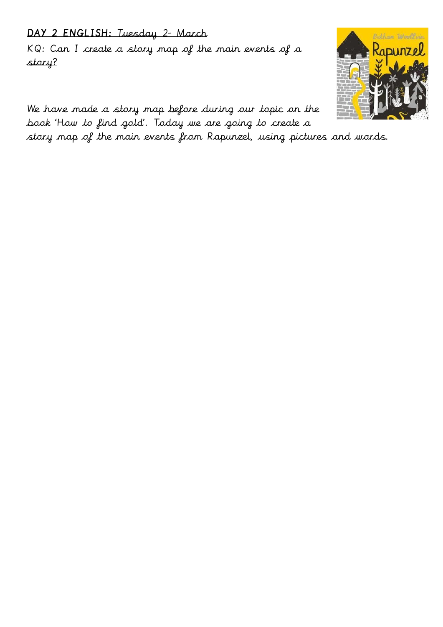### DAY 2 ENGLISH: Tuesday 2<sup>nd</sup> March

KQ: Can I create a story map of the main events of a story?



We have made a story map before during our topic on the book 'How to find gold'. Today we are going to create a

story map of the main events from Rapunzel, using pictures and words.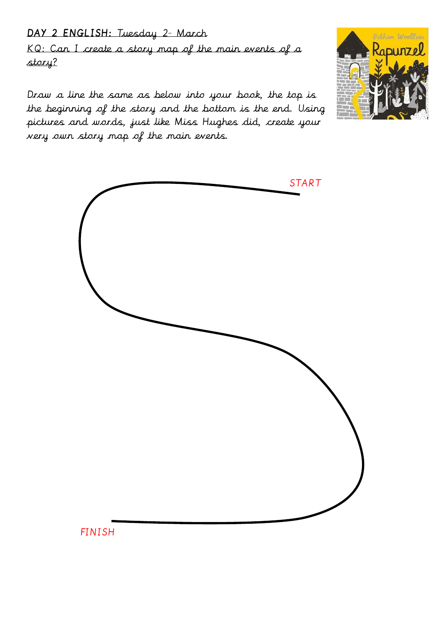### DAY 2 ENGLISH: Tuesday 2<sup>nd</sup> March

KQ: Can I create a story map of the main events of a story?

Draw a line the same as below into your book, the top is the beginning of the story and the bottom is the end. Using pictures and words, just like Miss Hughes did, create your very own story map of the main events.





FINISH